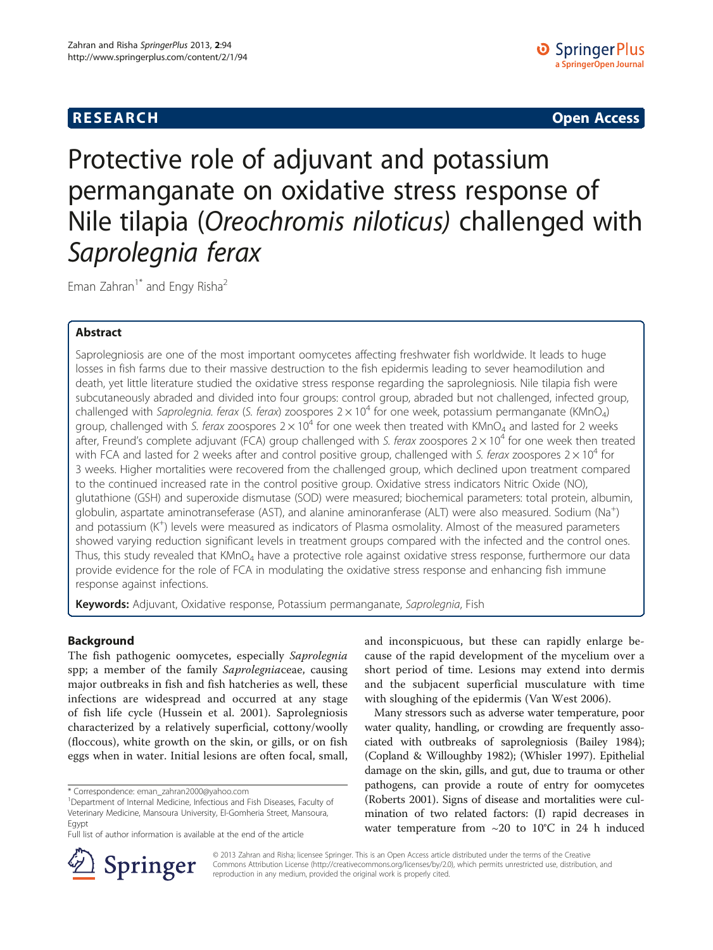**RESEARCH RESEARCH CONSUMING ACCESS** 

# Protective role of adjuvant and potassium permanganate on oxidative stress response of Nile tilapia (Oreochromis niloticus) challenged with<br>Saprolegnia ferax

Eman Zahran<sup>1\*</sup> and Engy Risha<sup>2</sup>

# Abstract

Saprolegniosis are one of the most important oomycetes affecting freshwater fish worldwide. It leads to huge losses in fish farms due to their massive destruction to the fish epidermis leading to sever heamodilution and death, yet little literature studied the oxidative stress response regarding the saprolegniosis. Nile tilapia fish were subcutaneously abraded and divided into four groups: control group, abraded but not challenged, infected group, challenged with Saprolegnia. ferax (S. ferax) zoospores  $2 \times 10^4$  for one week, potassium permanganate (KMnO<sub>4</sub>) group, challenged with S. ferax zoospores  $2 \times 10^4$  for one week then treated with KMnO<sub>4</sub> and lasted for 2 weeks after, Freund's complete adjuvant (FCA) group challenged with S. ferax zoospores  $2 \times 10^4$  for one week then treated with FCA and lasted for 2 weeks after and control positive group, challenged with S. ferax zoospores  $2 \times 10^4$  for 3 weeks. Higher mortalities were recovered from the challenged group, which declined upon treatment compared to the continued increased rate in the control positive group. Oxidative stress indicators Nitric Oxide (NO), glutathione (GSH) and superoxide dismutase (SOD) were measured; biochemical parameters: total protein, albumin, globulin, aspartate aminotranseferase (AST), and alanine aminoranferase (ALT) were also measured. Sodium (Na<sup>+</sup>) and potassium (K+ ) levels were measured as indicators of Plasma osmolality. Almost of the measured parameters showed varying reduction significant levels in treatment groups compared with the infected and the control ones. Thus, this study revealed that KMnO<sub>4</sub> have a protective role against oxidative stress response, furthermore our data provide evidence for the role of FCA in modulating the oxidative stress response and enhancing fish immune response against infections.

Keywords: Adjuvant, Oxidative response, Potassium permanganate, Saprolegnia, Fish

# Background

The fish pathogenic oomycetes, especially Saprolegnia spp; a member of the family Saprolegniaceae, causing major outbreaks in fish and fish hatcheries as well, these infections are widespread and occurred at any stage of fish life cycle (Hussein et al. [2001\)](#page-8-0). Saprolegniosis characterized by a relatively superficial, cottony/woolly (floccous), white growth on the skin, or gills, or on fish eggs when in water. Initial lesions are often focal, small,

\* Correspondence: [eman\\_zahran2000@yahoo.com](mailto:eman_zahran2000@yahoo.com) <sup>1</sup>

and inconspicuous, but these can rapidly enlarge because of the rapid development of the mycelium over a short period of time. Lesions may extend into dermis and the subjacent superficial musculature with time with sloughing of the epidermis (Van West [2006](#page-9-0)).

Many stressors such as adverse water temperature, poor water quality, handling, or crowding are frequently associated with outbreaks of saprolegniosis (Bailey [1984](#page-8-0)); (Copland & Willoughby [1982\)](#page-8-0); (Whisler [1997](#page-9-0)). Epithelial damage on the skin, gills, and gut, due to trauma or other pathogens, can provide a route of entry for oomycetes (Roberts [2001](#page-9-0)). Signs of disease and mortalities were culmination of two related factors: (I) rapid decreases in water temperature from ~20 to 10°C in 24 h induced



© 2013 Zahran and Risha; licensee Springer. This is an Open Access article distributed under the terms of the Creative Commons Attribution License (<http://creativecommons.org/licenses/by/2.0>), which permits unrestricted use, distribution, and reproduction in any medium, provided the original work is properly cited.

<sup>&</sup>lt;sup>1</sup>Department of Internal Medicine, Infectious and Fish Diseases, Faculty of Veterinary Medicine, Mansoura University, El-Gomheria Street, Mansoura, Egypt

Full list of author information is available at the end of the article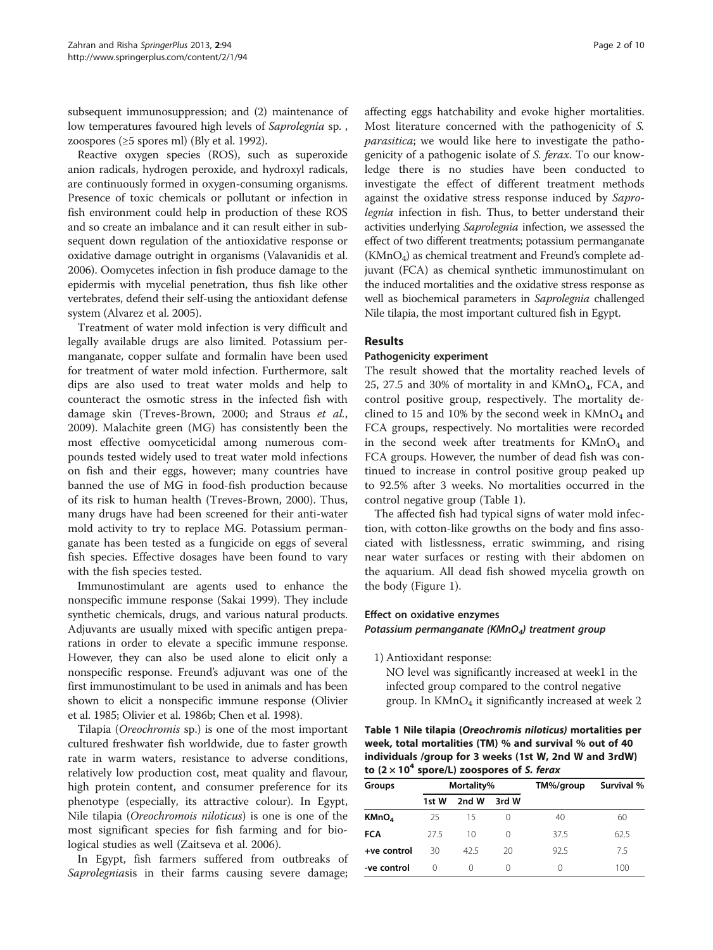subsequent immunosuppression; and (2) maintenance of low temperatures favoured high levels of Saprolegnia sp. , zoospores (≥5 spores ml) (Bly et al. [1992](#page-8-0)).

Reactive oxygen species (ROS), such as superoxide anion radicals, hydrogen peroxide, and hydroxyl radicals, are continuously formed in oxygen-consuming organisms. Presence of toxic chemicals or pollutant or infection in fish environment could help in production of these ROS and so create an imbalance and it can result either in subsequent down regulation of the antioxidative response or oxidative damage outright in organisms (Valavanidis et al. [2006\)](#page-9-0). Oomycetes infection in fish produce damage to the epidermis with mycelial penetration, thus fish like other vertebrates, defend their self-using the antioxidant defense system (Alvarez et al. [2005](#page-8-0)).

Treatment of water mold infection is very difficult and legally available drugs are also limited. Potassium permanganate, copper sulfate and formalin have been used for treatment of water mold infection. Furthermore, salt dips are also used to treat water molds and help to counteract the osmotic stress in the infected fish with damage skin (Treves-Brown, [2000](#page-9-0); and Straus et al., [2009](#page-9-0)). Malachite green (MG) has consistently been the most effective oomyceticidal among numerous compounds tested widely used to treat water mold infections on fish and their eggs, however; many countries have banned the use of MG in food-fish production because of its risk to human health (Treves-Brown, [2000\)](#page-9-0). Thus, many drugs have had been screened for their anti-water mold activity to try to replace MG. Potassium permanganate has been tested as a fungicide on eggs of several fish species. Effective dosages have been found to vary with the fish species tested.

Immunostimulant are agents used to enhance the nonspecific immune response (Sakai [1999](#page-9-0)). They include synthetic chemicals, drugs, and various natural products. Adjuvants are usually mixed with specific antigen preparations in order to elevate a specific immune response. However, they can also be used alone to elicit only a nonspecific response. Freund's adjuvant was one of the first immunostimulant to be used in animals and has been shown to elicit a nonspecific immune response (Olivier et al. [1985](#page-9-0); Olivier et al. [1986b;](#page-9-0) Chen et al. [1998](#page-8-0)).

Tilapia (Oreochromis sp.) is one of the most important cultured freshwater fish worldwide, due to faster growth rate in warm waters, resistance to adverse conditions, relatively low production cost, meat quality and flavour, high protein content, and consumer preference for its phenotype (especially, its attractive colour). In Egypt, Nile tilapia (Oreochromois niloticus) is one is one of the most significant species for fish farming and for biological studies as well (Zaitseva et al. [2006\)](#page-9-0).

In Egypt, fish farmers suffered from outbreaks of Saprolegniasis in their farms causing severe damage;

affecting eggs hatchability and evoke higher mortalities. Most literature concerned with the pathogenicity of S. parasitica; we would like here to investigate the pathogenicity of a pathogenic isolate of S. ferax. To our knowledge there is no studies have been conducted to investigate the effect of different treatment methods against the oxidative stress response induced by Saprolegnia infection in fish. Thus, to better understand their activities underlying Saprolegnia infection, we assessed the effect of two different treatments; potassium permanganate  $(KMnO<sub>4</sub>)$  as chemical treatment and Freund's complete adjuvant (FCA) as chemical synthetic immunostimulant on the induced mortalities and the oxidative stress response as well as biochemical parameters in Saprolegnia challenged Nile tilapia, the most important cultured fish in Egypt.

# Results

### Pathogenicity experiment

The result showed that the mortality reached levels of 25, 27.5 and 30% of mortality in and  $KMnO<sub>4</sub>$ , FCA, and control positive group, respectively. The mortality declined to 15 and 10% by the second week in  $KMnO_4$  and FCA groups, respectively. No mortalities were recorded in the second week after treatments for  $KMnO<sub>4</sub>$  and FCA groups. However, the number of dead fish was continued to increase in control positive group peaked up to 92.5% after 3 weeks. No mortalities occurred in the control negative group (Table 1).

The affected fish had typical signs of water mold infection, with cotton-like growths on the body and fins associated with listlessness, erratic swimming, and rising near water surfaces or resting with their abdomen on the aquarium. All dead fish showed mycelia growth on the body (Figure [1](#page-2-0)).

# Effect on oxidative enzymes

Potassium permanganate (KMnO<sub>4</sub>) treatment group

1) Antioxidant response:

NO level was significantly increased at week1 in the infected group compared to the control negative group. In  $KMnO<sub>4</sub>$  it significantly increased at week 2

Table 1 Nile tilapia (Oreochromis niloticus) mortalities per week, total mortalities (TM) % and survival % out of 40 individuals /group for 3 weeks (1st W, 2nd W and 3rdW) to  $(2 \times 10^4$  spore/L) zoospores of S. ferax

| Groups            | Mortality% |       |                  | TM%/group | Survival % |
|-------------------|------------|-------|------------------|-----------|------------|
|                   | 1st W      | 2nd W | 3rd W            |           |            |
| KMnO <sub>4</sub> | 25         | 15    |                  | 40        | 60         |
| <b>FCA</b>        | 27.5       | 10    | 0                | 37.5      | 62.5       |
| +ve control       | 30         | 425   | 20               | 92.5      | 7.5        |
| -ve control       | 0          | ∩     | $\left( \right)$ | 0         | 100        |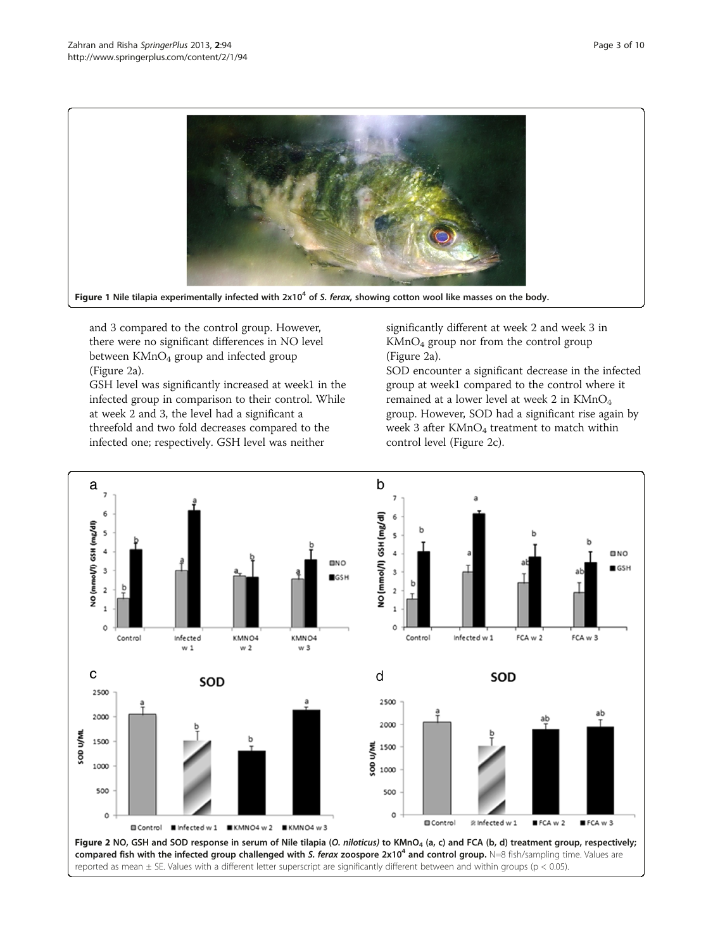<span id="page-2-0"></span>

Figure 1 Nile tilapia experimentally infected with  $2x10<sup>4</sup>$  of S. ferax, showing cotton wool like masses on the body.

and 3 compared to the control group. However, there were no significant differences in NO level between KMnO<sub>4</sub> group and infected group (Figure 2a).

GSH level was significantly increased at week1 in the infected group in comparison to their control. While at week 2 and 3, the level had a significant a threefold and two fold decreases compared to the infected one; respectively. GSH level was neither

significantly different at week 2 and week 3 in KMnO4 group nor from the control group (Figure 2a).

SOD encounter a significant decrease in the infected group at week1 compared to the control where it remained at a lower level at week 2 in KMnO4 group. However, SOD had a significant rise again by week 3 after  $KMnO_4$  treatment to match within control level (Figure 2c).

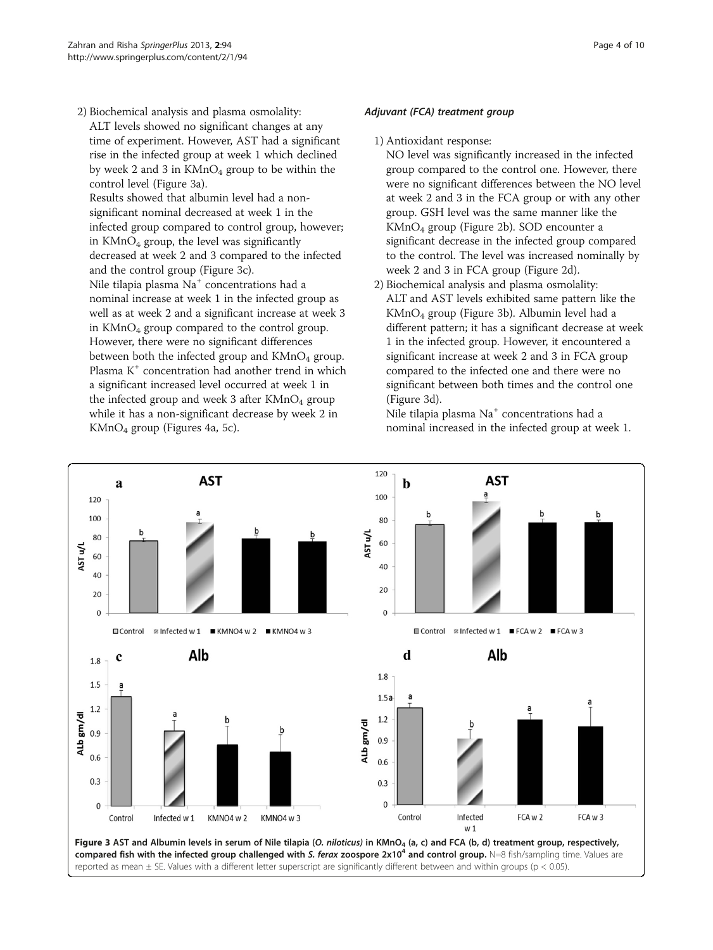2) Biochemical analysis and plasma osmolality: ALT levels showed no significant changes at any time of experiment. However, AST had a significant rise in the infected group at week 1 which declined by week 2 and 3 in  $KMnO_4$  group to be within the control level (Figure 3a).

Results showed that albumin level had a nonsignificant nominal decreased at week 1 in the infected group compared to control group, however; in  $KMnO<sub>4</sub>$  group, the level was significantly decreased at week 2 and 3 compared to the infected and the control group (Figure 3c). Nile tilapia plasma Na<sup>+</sup> concentrations had a nominal increase at week 1 in the infected group as well as at week 2 and a significant increase at week 3 in KMnO4 group compared to the control group. However, there were no significant differences between both the infected group and  $KMnO<sub>4</sub>$  group. Plasma K<sup>+</sup> concentration had another trend in which a significant increased level occurred at week 1 in the infected group and week 3 after  $KMnO<sub>4</sub>$  group while it has a non-significant decrease by week 2 in KMnO4 group (Figures [4](#page-4-0)a, [5](#page-4-0)c).

# Adjuvant (FCA) treatment group

### 1) Antioxidant response:

NO level was significantly increased in the infected group compared to the control one. However, there were no significant differences between the NO level at week 2 and 3 in the FCA group or with any other group. GSH level was the same manner like the KMnO4 group (Figure [2](#page-2-0)b). SOD encounter a significant decrease in the infected group compared to the control. The level was increased nominally by week 2 and 3 in FCA group (Figure [2](#page-2-0)d).

2) Biochemical analysis and plasma osmolality: ALT and AST levels exhibited same pattern like the  $KMnO<sub>4</sub>$  group (Figure 3b). Albumin level had a different pattern; it has a significant decrease at week 1 in the infected group. However, it encountered a significant increase at week 2 and 3 in FCA group compared to the infected one and there were no significant between both times and the control one (Figure 3d).

Nile tilapia plasma Na<sup>+</sup> concentrations had a nominal increased in the infected group at week 1.

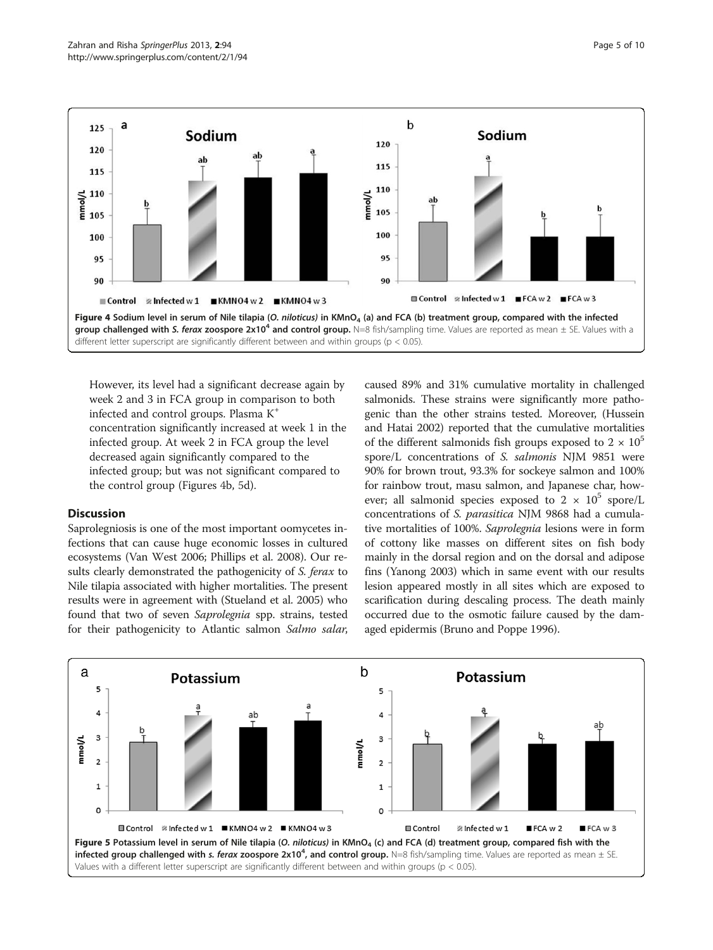<span id="page-4-0"></span>

However, its level had a significant decrease again by week 2 and 3 in FCA group in comparison to both infected and control groups. Plasma K<sup>+</sup> concentration significantly increased at week 1 in the infected group. At week 2 in FCA group the level decreased again significantly compared to the infected group; but was not significant compared to the control group (Figures 4b, 5d).

# **Discussion**

Saprolegniosis is one of the most important oomycetes infections that can cause huge economic losses in cultured ecosystems (Van West [2006;](#page-9-0) Phillips et al. [2008\)](#page-9-0). Our results clearly demonstrated the pathogenicity of S. ferax to Nile tilapia associated with higher mortalities. The present results were in agreement with (Stueland et al. [2005](#page-9-0)) who found that two of seven Saprolegnia spp. strains, tested for their pathogenicity to Atlantic salmon Salmo salar,

caused 89% and 31% cumulative mortality in challenged salmonids. These strains were significantly more pathogenic than the other strains tested. Moreover, (Hussein and Hatai [2002\)](#page-8-0) reported that the cumulative mortalities of the different salmonids fish groups exposed to  $2 \times 10^5$ spore/L concentrations of S. salmonis NJM 9851 were 90% for brown trout, 93.3% for sockeye salmon and 100% for rainbow trout, masu salmon, and Japanese char, however; all salmonid species exposed to  $2 \times 10^5$  spore/L concentrations of S. parasitica NJM 9868 had a cumulative mortalities of 100%. Saprolegnia lesions were in form of cottony like masses on different sites on fish body mainly in the dorsal region and on the dorsal and adipose fins (Yanong [2003\)](#page-9-0) which in same event with our results lesion appeared mostly in all sites which are exposed to scarification during descaling process. The death mainly occurred due to the osmotic failure caused by the damaged epidermis (Bruno and Poppe [1996\)](#page-8-0).

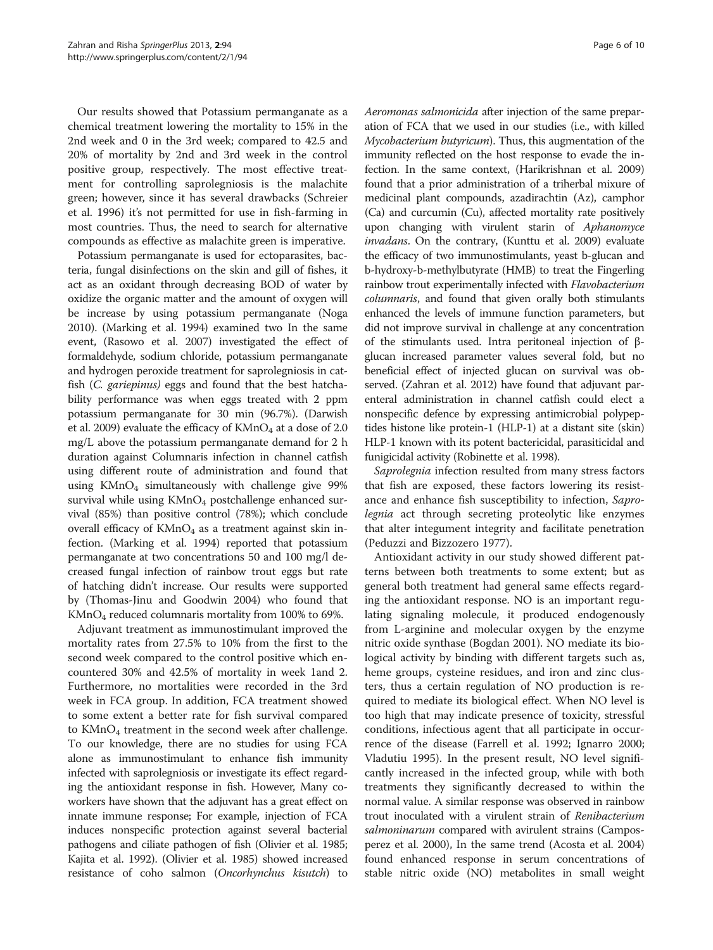Our results showed that Potassium permanganate as a chemical treatment lowering the mortality to 15% in the 2nd week and 0 in the 3rd week; compared to 42.5 and 20% of mortality by 2nd and 3rd week in the control positive group, respectively. The most effective treatment for controlling saprolegniosis is the malachite green; however, since it has several drawbacks (Schreier et al. [1996\)](#page-9-0) it's not permitted for use in fish-farming in most countries. Thus, the need to search for alternative compounds as effective as malachite green is imperative.

Potassium permanganate is used for ectoparasites, bacteria, fungal disinfections on the skin and gill of fishes, it act as an oxidant through decreasing BOD of water by oxidize the organic matter and the amount of oxygen will be increase by using potassium permanganate (Noga [2010\)](#page-9-0). (Marking et al. [1994\)](#page-9-0) examined two In the same event, (Rasowo et al. [2007](#page-9-0)) investigated the effect of formaldehyde, sodium chloride, potassium permanganate and hydrogen peroxide treatment for saprolegniosis in catfish (C. gariepinus) eggs and found that the best hatchability performance was when eggs treated with 2 ppm potassium permanganate for 30 min (96.7%). (Darwish et al. [2009](#page-8-0)) evaluate the efficacy of  $KMnO<sub>4</sub>$  at a dose of 2.0 mg/L above the potassium permanganate demand for 2 h duration against Columnaris infection in channel catfish using different route of administration and found that using  $KMnO<sub>4</sub>$  simultaneously with challenge give 99% survival while using  $KMnO<sub>4</sub>$  postchallenge enhanced survival (85%) than positive control (78%); which conclude overall efficacy of  $KMnO_4$  as a treatment against skin infection. (Marking et al. [1994\)](#page-9-0) reported that potassium permanganate at two concentrations 50 and 100 mg/l decreased fungal infection of rainbow trout eggs but rate of hatching didn't increase. Our results were supported by (Thomas-Jinu and Goodwin [2004\)](#page-9-0) who found that KMnO4 reduced columnaris mortality from 100% to 69%.

Adjuvant treatment as immunostimulant improved the mortality rates from 27.5% to 10% from the first to the second week compared to the control positive which encountered 30% and 42.5% of mortality in week 1and 2. Furthermore, no mortalities were recorded in the 3rd week in FCA group. In addition, FCA treatment showed to some extent a better rate for fish survival compared to  $KMnO_4$  treatment in the second week after challenge. To our knowledge, there are no studies for using FCA alone as immunostimulant to enhance fish immunity infected with saprolegniosis or investigate its effect regarding the antioxidant response in fish. However, Many coworkers have shown that the adjuvant has a great effect on innate immune response; For example, injection of FCA induces nonspecific protection against several bacterial pathogens and ciliate pathogen of fish (Olivier et al. [1985](#page-9-0); Kajita et al. [1992](#page-8-0)). (Olivier et al. [1985](#page-9-0)) showed increased resistance of coho salmon (Oncorhynchus kisutch) to Aeromonas salmonicida after injection of the same preparation of FCA that we used in our studies (i.e., with killed Mycobacterium butyricum). Thus, this augmentation of the immunity reflected on the host response to evade the infection. In the same context, (Harikrishnan et al. [2009](#page-8-0)) found that a prior administration of a triherbal mixure of medicinal plant compounds, azadirachtin (Az), camphor (Ca) and curcumin (Cu), affected mortality rate positively upon changing with virulent starin of Aphanomyce invadans. On the contrary, (Kunttu et al. [2009](#page-9-0)) evaluate the efficacy of two immunostimulants, yeast b-glucan and b-hydroxy-b-methylbutyrate (HMB) to treat the Fingerling rainbow trout experimentally infected with Flavobacterium columnaris, and found that given orally both stimulants enhanced the levels of immune function parameters, but did not improve survival in challenge at any concentration of the stimulants used. Intra peritoneal injection of βglucan increased parameter values several fold, but no beneficial effect of injected glucan on survival was observed. (Zahran et al. [2012](#page-9-0)) have found that adjuvant parenteral administration in channel catfish could elect a nonspecific defence by expressing antimicrobial polypeptides histone like protein-1 (HLP-1) at a distant site (skin) HLP-1 known with its potent bactericidal, parasiticidal and funigicidal activity (Robinette et al. [1998\)](#page-9-0).

Saprolegnia infection resulted from many stress factors that fish are exposed, these factors lowering its resistance and enhance fish susceptibility to infection, Saprolegnia act through secreting proteolytic like enzymes that alter integument integrity and facilitate penetration (Peduzzi and Bizzozero [1977\)](#page-9-0).

Antioxidant activity in our study showed different patterns between both treatments to some extent; but as general both treatment had general same effects regarding the antioxidant response. NO is an important regulating signaling molecule, it produced endogenously from L-arginine and molecular oxygen by the enzyme nitric oxide synthase (Bogdan [2001](#page-8-0)). NO mediate its biological activity by binding with different targets such as, heme groups, cysteine residues, and iron and zinc clusters, thus a certain regulation of NO production is required to mediate its biological effect. When NO level is too high that may indicate presence of toxicity, stressful conditions, infectious agent that all participate in occurrence of the disease (Farrell et al. [1992;](#page-8-0) Ignarro [2000](#page-8-0); Vladutiu [1995](#page-9-0)). In the present result, NO level significantly increased in the infected group, while with both treatments they significantly decreased to within the normal value. A similar response was observed in rainbow trout inoculated with a virulent strain of Renibacterium salmoninarum compared with avirulent strains (Camposperez et al. [2000\)](#page-8-0), In the same trend (Acosta et al. [2004](#page-8-0)) found enhanced response in serum concentrations of stable nitric oxide (NO) metabolites in small weight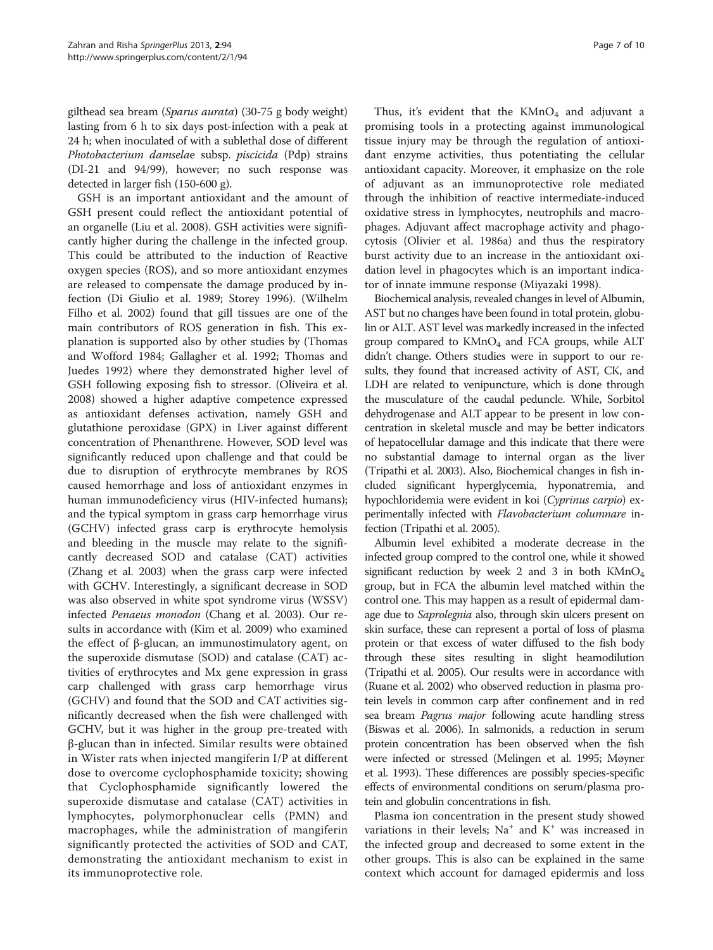gilthead sea bream (Sparus aurata) (30-75 g body weight) lasting from 6 h to six days post-infection with a peak at 24 h; when inoculated of with a sublethal dose of different Photobacterium damselae subsp. piscicida (Pdp) strains (DI-21 and 94/99), however; no such response was detected in larger fish (150-600 g).

GSH is an important antioxidant and the amount of GSH present could reflect the antioxidant potential of an organelle (Liu et al. [2008](#page-9-0)). GSH activities were significantly higher during the challenge in the infected group. This could be attributed to the induction of Reactive oxygen species (ROS), and so more antioxidant enzymes are released to compensate the damage produced by infection (Di Giulio et al. [1989](#page-8-0); Storey [1996\)](#page-9-0). (Wilhelm Filho et al. [2002](#page-9-0)) found that gill tissues are one of the main contributors of ROS generation in fish. This explanation is supported also by other studies by (Thomas and Wofford [1984](#page-9-0); Gallagher et al. [1992;](#page-8-0) Thomas and Juedes [1992](#page-9-0)) where they demonstrated higher level of GSH following exposing fish to stressor. (Oliveira et al. [2008](#page-9-0)) showed a higher adaptive competence expressed as antioxidant defenses activation, namely GSH and glutathione peroxidase (GPX) in Liver against different concentration of Phenanthrene. However, SOD level was significantly reduced upon challenge and that could be due to disruption of erythrocyte membranes by ROS caused hemorrhage and loss of antioxidant enzymes in human immunodeficiency virus (HIV-infected humans); and the typical symptom in grass carp hemorrhage virus (GCHV) infected grass carp is erythrocyte hemolysis and bleeding in the muscle may relate to the significantly decreased SOD and catalase (CAT) activities (Zhang et al. [2003\)](#page-9-0) when the grass carp were infected with GCHV. Interestingly, a significant decrease in SOD was also observed in white spot syndrome virus (WSSV) infected Penaeus monodon (Chang et al. [2003](#page-8-0)). Our results in accordance with (Kim et al. [2009\)](#page-9-0) who examined the effect of β-glucan, an immunostimulatory agent, on the superoxide dismutase (SOD) and catalase (CAT) activities of erythrocytes and Mx gene expression in grass carp challenged with grass carp hemorrhage virus (GCHV) and found that the SOD and CAT activities significantly decreased when the fish were challenged with GCHV, but it was higher in the group pre-treated with β-glucan than in infected. Similar results were obtained in Wister rats when injected mangiferin I/P at different dose to overcome cyclophosphamide toxicity; showing that Cyclophosphamide significantly lowered the superoxide dismutase and catalase (CAT) activities in lymphocytes, polymorphonuclear cells (PMN) and macrophages, while the administration of mangiferin significantly protected the activities of SOD and CAT, demonstrating the antioxidant mechanism to exist in its immunoprotective role.

Thus, it's evident that the  $KMnO<sub>4</sub>$  and adjuvant a promising tools in a protecting against immunological tissue injury may be through the regulation of antioxidant enzyme activities, thus potentiating the cellular antioxidant capacity. Moreover, it emphasize on the role of adjuvant as an immunoprotective role mediated through the inhibition of reactive intermediate-induced oxidative stress in lymphocytes, neutrophils and macrophages. Adjuvant affect macrophage activity and phagocytosis (Olivier et al. [1986a\)](#page-9-0) and thus the respiratory burst activity due to an increase in the antioxidant oxidation level in phagocytes which is an important indicator of innate immune response (Miyazaki [1998](#page-9-0)).

Biochemical analysis, revealed changes in level of Albumin, AST but no changes have been found in total protein, globulin or ALT. AST level was markedly increased in the infected group compared to  $KMnO<sub>4</sub>$  and FCA groups, while ALT didn't change. Others studies were in support to our results, they found that increased activity of AST, CK, and LDH are related to venipuncture, which is done through the musculature of the caudal peduncle. While, Sorbitol dehydrogenase and ALT appear to be present in low concentration in skeletal muscle and may be better indicators of hepatocellular damage and this indicate that there were no substantial damage to internal organ as the liver (Tripathi et al. [2003\)](#page-9-0). Also, Biochemical changes in fish included significant hyperglycemia, hyponatremia, and hypochloridemia were evident in koi (Cyprinus carpio) experimentally infected with Flavobacterium columnare infection (Tripathi et al. [2005\)](#page-9-0).

Albumin level exhibited a moderate decrease in the infected group compred to the control one, while it showed significant reduction by week 2 and 3 in both  $KMnO<sub>4</sub>$ group, but in FCA the albumin level matched within the control one. This may happen as a result of epidermal damage due to Saprolegnia also, through skin ulcers present on skin surface, these can represent a portal of loss of plasma protein or that excess of water diffused to the fish body through these sites resulting in slight heamodilution (Tripathi et al. [2005](#page-9-0)). Our results were in accordance with (Ruane et al. [2002](#page-9-0)) who observed reduction in plasma protein levels in common carp after confinement and in red sea bream *Pagrus major* following acute handling stress (Biswas et al. [2006](#page-8-0)). In salmonids, a reduction in serum protein concentration has been observed when the fish were infected or stressed (Melingen et al. [1995;](#page-9-0) Møyner et al. [1993\)](#page-9-0). These differences are possibly species-specific effects of environmental conditions on serum/plasma protein and globulin concentrations in fish.

Plasma ion concentration in the present study showed variations in their levels;  $Na^+$  and  $K^+$  was increased in the infected group and decreased to some extent in the other groups. This is also can be explained in the same context which account for damaged epidermis and loss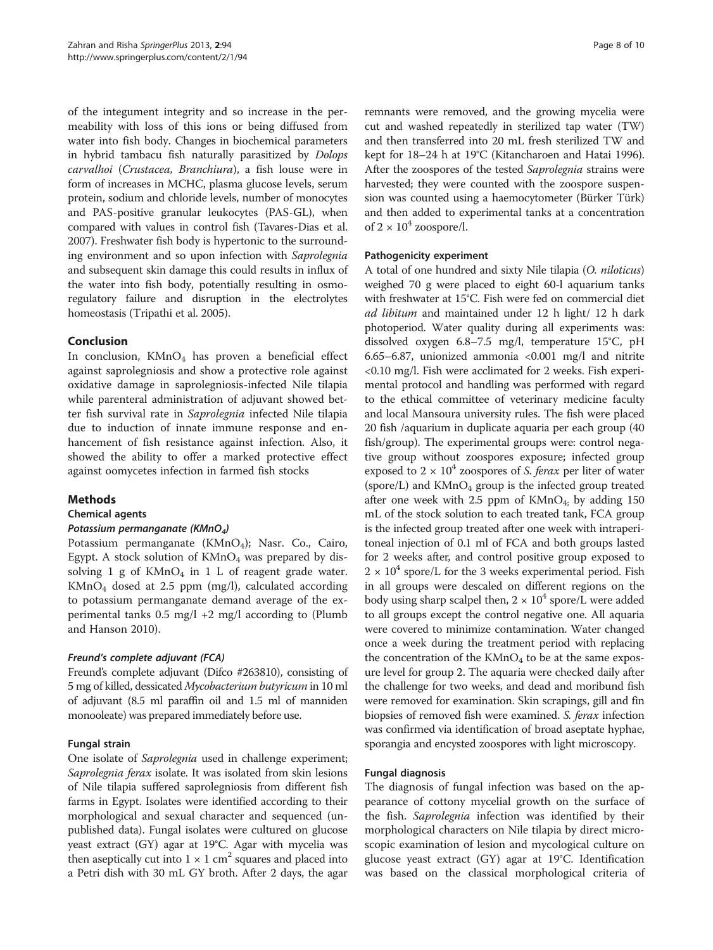of the integument integrity and so increase in the permeability with loss of this ions or being diffused from water into fish body. Changes in biochemical parameters in hybrid tambacu fish naturally parasitized by Dolops carvalhoi (Crustacea, Branchiura), a fish louse were in form of increases in MCHC, plasma glucose levels, serum protein, sodium and chloride levels, number of monocytes and PAS-positive granular leukocytes (PAS-GL), when compared with values in control fish (Tavares-Dias et al. [2007\)](#page-9-0). Freshwater fish body is hypertonic to the surrounding environment and so upon infection with Saprolegnia and subsequent skin damage this could results in influx of the water into fish body, potentially resulting in osmoregulatory failure and disruption in the electrolytes homeostasis (Tripathi et al. [2005](#page-9-0)).

### Conclusion

In conclusion,  $KMnO<sub>4</sub>$  has proven a beneficial effect against saprolegniosis and show a protective role against oxidative damage in saprolegniosis-infected Nile tilapia while parenteral administration of adjuvant showed better fish survival rate in Saprolegnia infected Nile tilapia due to induction of innate immune response and enhancement of fish resistance against infection. Also, it showed the ability to offer a marked protective effect against oomycetes infection in farmed fish stocks

# Methods

#### Chemical agents

#### Potassium permanganate (KMnO<sub>4</sub>)

Potassium permanganate  $(KMnO<sub>4</sub>)$ ; Nasr. Co., Cairo, Egypt. A stock solution of  $KMnO<sub>4</sub>$  was prepared by dissolving  $1$  g of  $KMnO<sub>4</sub>$  in  $1$  L of reagent grade water. KMnO4 dosed at 2.5 ppm (mg/l), calculated according to potassium permanganate demand average of the experimental tanks  $0.5 \text{ mg/l} + 2 \text{ mg/l}$  according to (Plumb and Hanson [2010\)](#page-9-0).

#### Freund's complete adjuvant (FCA)

Freund's complete adjuvant (Difco #263810), consisting of 5 mg of killed, dessicated Mycobacterium butyricum in 10 ml of adjuvant (8.5 ml paraffin oil and 1.5 ml of manniden monooleate) was prepared immediately before use.

#### Fungal strain

One isolate of Saprolegnia used in challenge experiment; Saprolegnia ferax isolate. It was isolated from skin lesions of Nile tilapia suffered saprolegniosis from different fish farms in Egypt. Isolates were identified according to their morphological and sexual character and sequenced (unpublished data). Fungal isolates were cultured on glucose yeast extract (GY) agar at 19°C. Agar with mycelia was then aseptically cut into  $1 \times 1$  cm<sup>2</sup> squares and placed into a Petri dish with 30 mL GY broth. After 2 days, the agar

remnants were removed, and the growing mycelia were cut and washed repeatedly in sterilized tap water (TW) and then transferred into 20 mL fresh sterilized TW and kept for 18–24 h at 19°C (Kitancharoen and Hatai [1996](#page-9-0)). After the zoospores of the tested Saprolegnia strains were harvested; they were counted with the zoospore suspension was counted using a haemocytometer (Bürker Türk) and then added to experimental tanks at a concentration of  $2 \times 10^4$  zoospore/l.

### Pathogenicity experiment

A total of one hundred and sixty Nile tilapia (O. niloticus) weighed 70 g were placed to eight 60-l aquarium tanks with freshwater at 15°C. Fish were fed on commercial diet ad libitum and maintained under 12 h light/ 12 h dark photoperiod. Water quality during all experiments was: dissolved oxygen 6.8–7.5 mg/l, temperature 15°C, pH 6.65–6.87, unionized ammonia <0.001 mg/l and nitrite <0.10 mg/l. Fish were acclimated for 2 weeks. Fish experimental protocol and handling was performed with regard to the ethical committee of veterinary medicine faculty and local Mansoura university rules. The fish were placed 20 fish /aquarium in duplicate aquaria per each group (40 fish/group). The experimental groups were: control negative group without zoospores exposure; infected group exposed to  $2 \times 10^4$  zoospores of S. ferax per liter of water (spore/L) and  $KMnO_4$  group is the infected group treated after one week with 2.5 ppm of  $KMnO<sub>4</sub>$ ; by adding 150 mL of the stock solution to each treated tank, FCA group is the infected group treated after one week with intraperitoneal injection of 0.1 ml of FCA and both groups lasted for 2 weeks after, and control positive group exposed to  $2 \times 10^4$  spore/L for the 3 weeks experimental period. Fish in all groups were descaled on different regions on the body using sharp scalpel then,  $2 \times 10^4$  spore/L were added to all groups except the control negative one. All aquaria were covered to minimize contamination. Water changed once a week during the treatment period with replacing the concentration of the  $KMnO<sub>4</sub>$  to be at the same exposure level for group 2. The aquaria were checked daily after the challenge for two weeks, and dead and moribund fish were removed for examination. Skin scrapings, gill and fin biopsies of removed fish were examined. S. ferax infection was confirmed via identification of broad aseptate hyphae, sporangia and encysted zoospores with light microscopy.

# Fungal diagnosis

The diagnosis of fungal infection was based on the appearance of cottony mycelial growth on the surface of the fish. Saprolegnia infection was identified by their morphological characters on Nile tilapia by direct microscopic examination of lesion and mycological culture on glucose yeast extract (GY) agar at 19°C. Identification was based on the classical morphological criteria of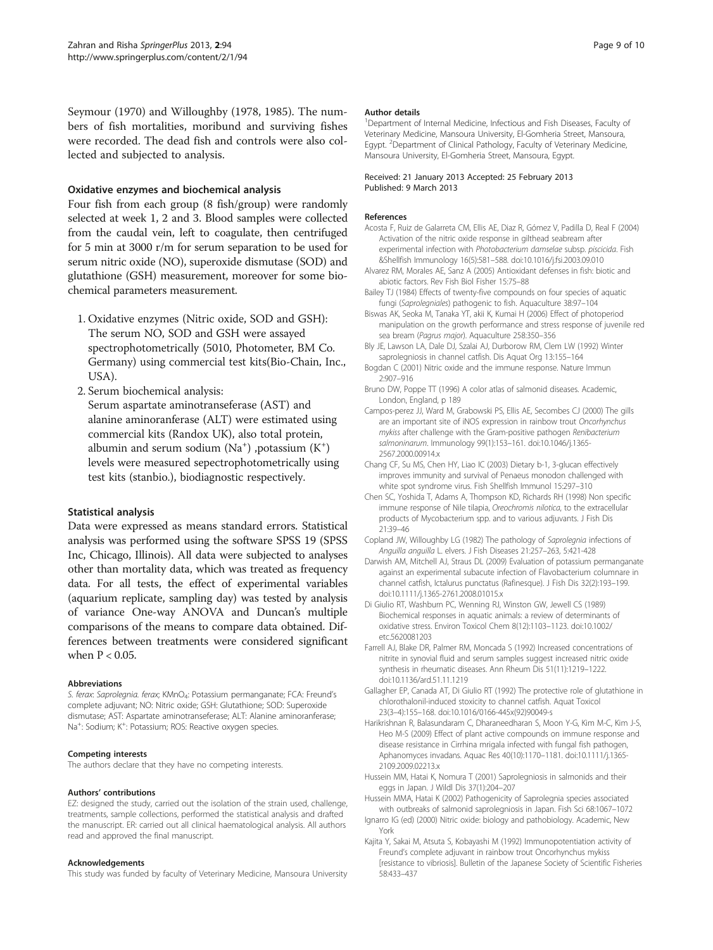<span id="page-8-0"></span>Seymour ([1970\)](#page-9-0) and Willoughby [\(1978, 1985\)](#page-9-0). The numbers of fish mortalities, moribund and surviving fishes were recorded. The dead fish and controls were also collected and subjected to analysis.

#### Oxidative enzymes and biochemical analysis

Four fish from each group (8 fish/group) were randomly selected at week 1, 2 and 3. Blood samples were collected from the caudal vein, left to coagulate, then centrifuged for 5 min at 3000 r/m for serum separation to be used for serum nitric oxide (NO), superoxide dismutase (SOD) and glutathione (GSH) measurement, moreover for some biochemical parameters measurement.

- 1. Oxidative enzymes (Nitric oxide, SOD and GSH): The serum NO, SOD and GSH were assayed spectrophotometrically (5010, Photometer, BM Co. Germany) using commercial test kits(Bio-Chain, Inc., USA).
- 2. Serum biochemical analysis: Serum aspartate aminotranseferase (AST) and alanine aminoranferase (ALT) were estimated using commercial kits (Randox UK), also total protein, albumin and serum sodium  $(Na^+)$  ,potassium  $(K^+)$ levels were measured sepectrophotometrically using test kits (stanbio.), biodiagnostic respectively.

# Statistical analysis

Data were expressed as means standard errors. Statistical analysis was performed using the software SPSS 19 (SPSS Inc, Chicago, Illinois). All data were subjected to analyses other than mortality data, which was treated as frequency data. For all tests, the effect of experimental variables (aquarium replicate, sampling day) was tested by analysis of variance One-way ANOVA and Duncan's multiple comparisons of the means to compare data obtained. Differences between treatments were considered significant when P < 0.05.

#### Abbreviations

S. ferax: Saprolegnia. ferax; KMnO4: Potassium permanganate; FCA: Freund's complete adjuvant; NO: Nitric oxide; GSH: Glutathione; SOD: Superoxide dismutase; AST: Aspartate aminotranseferase; ALT: Alanine aminoranferase; Na<sup>+</sup>: Sodium; K<sup>+</sup>: Potassium; ROS: Reactive oxygen species.

#### Competing interests

The authors declare that they have no competing interests.

#### Authors' contributions

EZ: designed the study, carried out the isolation of the strain used, challenge, treatments, sample collections, performed the statistical analysis and drafted the manuscript. ER: carried out all clinical haematological analysis. All authors read and approved the final manuscript.

#### Acknowledgements

This study was funded by faculty of Veterinary Medicine, Mansoura University

#### Author details

<sup>1</sup>Department of Internal Medicine, Infectious and Fish Diseases, Faculty of Veterinary Medicine, Mansoura University, El-Gomheria Street, Mansoura, Egypt. <sup>2</sup> Department of Clinical Pathology, Faculty of Veterinary Medicine, Mansoura University, El-Gomheria Street, Mansoura, Egypt.

#### Received: 21 January 2013 Accepted: 25 February 2013 Published: 9 March 2013

#### **References**

- Acosta F, Ruiz de Galarreta CM, Ellis AE, Diaz R, Gómez V, Padilla D, Real F (2004) Activation of the nitric oxide response in gilthead seabream after experimental infection with Photobacterium damselae subsp. piscicida. Fish &Shellfish Immunology 16(5):581–588. doi[:10.1016/j.fsi.2003.09.010](http://dx.doi.org/10.1016/j.fsi.2003.09.010)
- Alvarez RM, Morales AE, Sanz A (2005) Antioxidant defenses in fish: biotic and abiotic factors. Rev Fish Biol Fisher 15:75–88
- Bailey TJ (1984) Effects of twenty-five compounds on four species of aquatic fungi (Saprolegniales) pathogenic to fish. Aquaculture 38:97–104
- Biswas AK, Seoka M, Tanaka YT, akii K, Kumai H (2006) Effect of photoperiod manipulation on the growth performance and stress response of juvenile red sea bream (Pagrus major). Aquaculture 258:350–356
- Bly JE, Lawson LA, Dale DJ, Szalai AJ, Durborow RM, Clem LW (1992) Winter saprolegniosis in channel catfish. Dis Aquat Org 13:155–164
- Bogdan C (2001) Nitric oxide and the immune response. Nature Immun 2:907–916
- Bruno DW, Poppe TT (1996) A color atlas of salmonid diseases. Academic, London, England, p 189
- Campos-perez JJ, Ward M, Grabowski PS, Ellis AE, Secombes CJ (2000) The gills are an important site of iNOS expression in rainbow trout Oncorhynchus mykiss after challenge with the Gram-positive pathogen Renibacterium salmoninarum. Immunology 99(1):153–161. doi:[10.1046/j.1365-](http://dx.doi.org/10.1046/j.1365-2567.2000.00914.x) [2567.2000.00914.x](http://dx.doi.org/10.1046/j.1365-2567.2000.00914.x)
- Chang CF, Su MS, Chen HY, Liao IC (2003) Dietary b-1, 3-glucan effectively improves immunity and survival of Penaeus monodon challenged with white spot syndrome virus. Fish Shellfish Immunol 15:297–310
- Chen SC, Yoshida T, Adams A, Thompson KD, Richards RH (1998) Non specific immune response of Nile tilapia, Oreochromis nilotica, to the extracellular products of Mycobacterium spp. and to various adjuvants. J Fish Dis 21:39–46
- Copland JW, Willoughby LG (1982) The pathology of Saprolegnia infections of Anguilla anguilla L. elvers. J Fish Diseases 21:257–263, 5:421-428
- Darwish AM, Mitchell AJ, Straus DL (2009) Evaluation of potassium permanganate against an experimental subacute infection of Flavobacterium columnare in channel catfish, Ictalurus punctatus (Rafinesque). J Fish Dis 32(2):193–199. doi[:10.1111/j.1365-2761.2008.01015.x](http://dx.doi.org/10.1111/j.1365-2761.2008.01015.x)
- Di Giulio RT, Washburn PC, Wenning RJ, Winston GW, Jewell CS (1989) Biochemical responses in aquatic animals: a review of determinants of oxidative stress. Environ Toxicol Chem 8(12):1103–1123. doi:[10.1002/](http://dx.doi.org/10.1002/etc.5620081203) [etc.5620081203](http://dx.doi.org/10.1002/etc.5620081203)
- Farrell AJ, Blake DR, Palmer RM, Moncada S (1992) Increased concentrations of nitrite in synovial fluid and serum samples suggest increased nitric oxide synthesis in rheumatic diseases. Ann Rheum Dis 51(11):1219–1222. doi[:10.1136/ard.51.11.1219](http://dx.doi.org/10.1136/ard.51.11.1219)
- Gallagher EP, Canada AT, Di Giulio RT (1992) The protective role of glutathione in chlorothalonil-induced stoxicity to channel catfish. Aquat Toxicol 23(3–4):155–168. doi[:10.1016/0166-445x\(92\)90049-s](http://dx.doi.org/10.1016/0166-445x(92)90049-s)
- Harikrishnan R, Balasundaram C, Dharaneedharan S, Moon Y-G, Kim M-C, Kim J-S, Heo M-S (2009) Effect of plant active compounds on immune response and disease resistance in Cirrhina mrigala infected with fungal fish pathogen, Aphanomyces invadans. Aquac Res 40(10):1170–1181. doi:[10.1111/j.1365-](http://dx.doi.org/10.1111/j.1365-2109.2009.02213.x) [2109.2009.02213.x](http://dx.doi.org/10.1111/j.1365-2109.2009.02213.x)
- Hussein MM, Hatai K, Nomura T (2001) Saprolegniosis in salmonids and their eggs in Japan. J Wildl Dis 37(1):204–207
- Hussein MMA, Hatai K (2002) Pathogenicity of Saprolegnia species associated with outbreaks of salmonid saprolegniosis in Japan. Fish Sci 68:1067–1072
- Ignarro IG (ed) (2000) Nitric oxide: biology and pathobiology. Academic, New York
- Kajita Y, Sakai M, Atsuta S, Kobayashi M (1992) Immunopotentiation activity of Freund's complete adjuvant in rainbow trout Oncorhynchus mykiss [resistance to vibriosis]. Bulletin of the Japanese Society of Scientific Fisheries 58:433–437